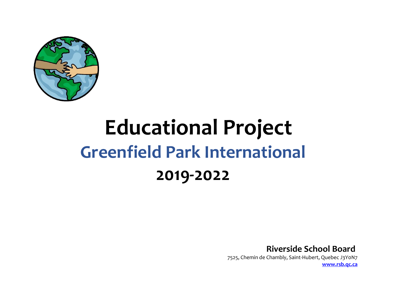

# **Educational Project Greenfield Park International 2019-2022**

**Riverside School Board**   7525, Chemin de Chambly, Saint-Hubert, Quebec J3Y0N7   **[www.rsb.qc.ca](http://www.rsb.qc.ca/)**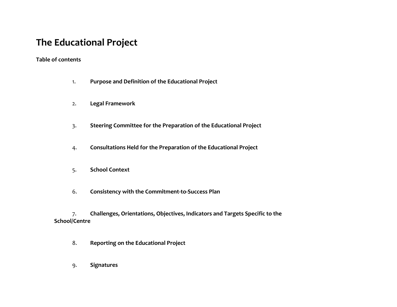# **The Educational Project**

## **Table of contents**

- 1. **Purpose and Definition of the Educational Project**
- 2. **Legal Framework**
- 3. **Steering Committee for the Preparation of the Educational Project**
- 4. **Consultations Held for the Preparation of the Educational Project**
- 5. **School Context**
- 6. **Consistency with the Commitment-to-Success Plan**

7. **Challenges, Orientations, Objectives, Indicators and Targets Specific to the School/Centre**

- 8. **Reporting on the Educational Project**
- 9. **Signatures**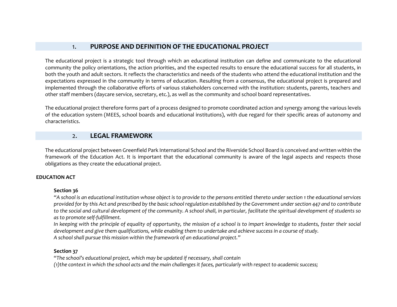#### 1. **PURPOSE AND DEFINITION OF THE EDUCATIONAL PROJECT**

The educational project is a strategic tool through which an educational institution can define and communicate to the educational community the policy orientations, the action priorities, and the expected results to ensure the educational success for all students, in both the youth and adult sectors. It reflects the characteristics and needs of the students who attend the educational institution and the expectations expressed in the community in terms of education. Resulting from a consensus, the educational project is prepared and implemented through the collaborative efforts of various stakeholders concerned with the institution: students, parents, teachers and other staff members (daycare service, secretary, etc.), as well as the community and school board representatives.  

The educational project therefore forms part of a process designed to promote coordinated action and synergy among the various levels of the education system (MEES, school boards and educational institutions), with due regard for their specific areas of autonomy and characteristics.  

#### 2. **LEGAL FRAMEWORK**

The educational project between Greenfield Park International School and the Riverside School Board is conceived and written within the framework of the Education Act. It is important that the educational community is aware of the legal aspects and respects those obligations as they create the educational project.  

#### **EDUCATION ACT**

#### **Section 36**

<sup>"A</sup> school is an educational institution whose object is to provide to the persons entitled thereto under section 1 the educational services *provided for by this Act and prescribed by the basic school regulation established by the Government under section 447 and to contribute to the social and cultural development of the community. A school shall, in particular, facilitate the spiritual development of students so as to promote self-fulfillment.*  

*In keeping with the principle of equality of opportunity, the mission of a school is to impart knowledge to students, foster their social development and give them qualifications, while enabling them to undertake and achieve success in a course of study. A school shall pursue this mission within the framework of an educational project."*  

#### **Section 37**

"*The school's educational project, which may be updated if necessary, shall contain*  

*(1)the context in which the school acts and the main challenges it faces, particularly with respect to academic success;*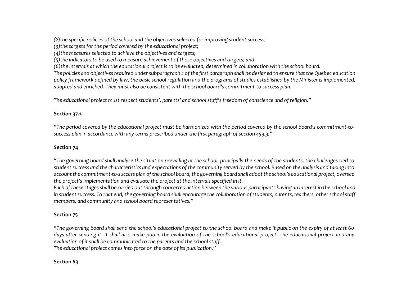*(2)the specific policies of the school and the objectives selected for improving student success;*  

*(3)the targets for the period covered by the educational project;*  

*(4)the measures selected to achieve the objectives and targets;*  

*(5)the indicators to be used to measure achievement of those objectives and targets; and*  

*(6)the intervals at which the educational project is to be evaluated, determined in collaboration with the school board.*  

*The policies and objectives required under subparagraph 2 of the first paragraph shall be designed to ensure that the Québec education policy framework defined by law, the basic school regulation and the programs of studies established by the Minister is implemented, adapted and enriched. They must also be consistent with the school board's commitment-to-success plan.*  

*The educational project must respect students', parents' and school staff's freedom of conscience and of religion."*  

#### **Section 37.1.**

*"The period covered by the educational project must be harmonized with the period covered by the school board's commitment-tosuccess plan in accordance with any terms prescribed under the first paragraph of section 459.3."*  

#### **Section 74**

"*The governing board shall analyze the situation prevailing at the school, principally the needs of the students, the challenges tied to student success and the characteristics and expectations of the community served by the school. Based on the analysis and taking into account the commitment-to-success plan of the school board, the governing board shall adopt the school's educational project, oversee the project's implementation and evaluate the project at the intervals specified in it.*  

*Each of these stages shall be carried out through concerted action between the various participants having an interest in the school and in student success. To that end, the governing board shall encourage the collaboration of students, parents, teachers, other school staff members, and community and school board representatives."*  

## **Section 75**

"*The governing board shall send the school's educational project to the school board and make it public on the expiry of at least 60*  days after sending it. It shall also make public the evaluation of the school's educational project. The educational project and any *evaluation of it shall be communicated to the parents and the school staff. The educational project comes into force on the date of its publication."*  

## **Section** *83*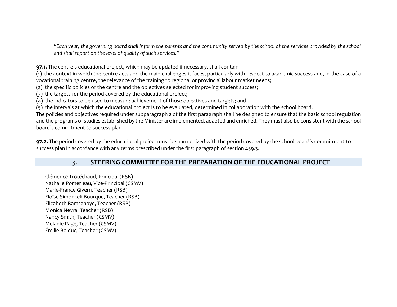*"Each year, the governing board shall inform the parents and the community served by the school of the services provided by the school and shall report on the level of quality of such services."*  

**97.1.** The centre's educational project, which may be updated if necessary, shall contain  

(1)  the context in which the centre acts and the main challenges it faces, particularly with respect to academic success and, in the case of a vocational training centre, the relevance of the training to regional or provincial labour market needs;  

(2)  the specific policies of the centre and the objectives selected for improving student success;  

(3)  the targets for the period covered by the educational project;  

(4)  the indicators to be used to measure achievement of those objectives and targets; and  

(5)  the intervals at which the educational project is to be evaluated, determined in collaboration with the school board.  

The policies and objectives required under subparagraph 2 of the first paragraph shall be designed to ensure that the basic school regulation and the programs of studies established by the Minister are implemented, adapted and enriched. They must also be consistent with the school board's commitment-to-success plan.  

**97.2.** The period covered by the educational project must be harmonized with the period covered by the school board's commitment-tosuccess plan in accordance with any terms prescribed under the first paragraph of section 459.3.  

## 3. **STEERING COMMITTEE FOR THE PREPARATION OF THE EDUCATIONAL PROJECT**

Clémence Trotéchaud, Principal (RSB)   Nathalie Pomerleau, Vice-Principal (CSMV)   Marie-France Givern, Teacher (RSB)   Eloïse Simonceli-Bourque, Teacher (RSB)   Elizabeth Ramsahoye, Teacher (RSB)   Monica Neyra, Teacher (RSB)   Nancy Smith, Teacher (CSMV)   Melanie Pagé, Teacher (CSMV)   Émilie Bolduc, Teacher (CSMV)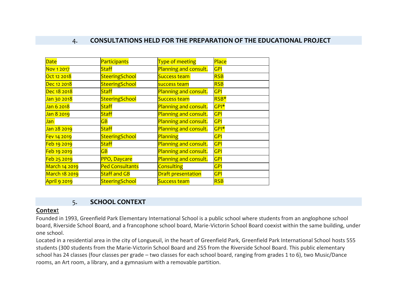## 4. **CONSULTATIONS HELD FOR THE PREPARATION OF THE EDUCATIONAL PROJECT**

| <b>Date</b>          | Participants                      | Type of meeting           | Place      |
|----------------------|-----------------------------------|---------------------------|------------|
| Nov 1 2017           | <b>Staff</b>                      | Planning and consult.     | <b>GPI</b> |
| Oct 12 2018          | SteeringSchool                    | <b>Success team</b>       | <b>RSB</b> |
| Dec 12 2018          | SteeringSchool                    | success team              | <b>RSB</b> |
| Dec 18 2018          | <b>Staff</b>                      | Planning and consult.     | <b>GPI</b> |
| Jan 30 2018          | SteeringSchool                    | <b>Success team</b>       | RSB*       |
| Jan 6 2018           | <b>Staff</b>                      | Planning and consult.     | GPI*       |
| Jan 8 2019           | <b>Staff</b>                      | Planning and consult.     | <b>GPI</b> |
| Jan                  | $\overline{AB}$                   | Planning and consult.     | <b>GPI</b> |
| Jan 28 2019          | <b>Staff</b>                      | Planning and consult.     | GPI*       |
| Fev 14 2019          | SteeringSchool                    | Planning                  | <b>GPI</b> |
| Feb 19 2019          | <b>Staff</b>                      | Planning and consult.     | GPI        |
| Feb 19 2019          | $\overline{\mathsf{G}\mathsf{B}}$ | Planning and consult.     | <b>GPI</b> |
| Feb 25 2019          | PPO, Daycare                      | Planning and consult.     | <b>GPI</b> |
| March 14 2019        | <b>Ped Consultants</b>            | <b>Consulting</b>         | <b>GPI</b> |
| <b>March 18 2019</b> | <b>Staff and GB</b>               | <b>Draft presentation</b> | <b>GPI</b> |
| April 9 2019         | SteeringSchool                    | <b>Success team</b>       | <b>RSB</b> |

## 5. **SCHOOL CONTEXT**

#### **Contex**t

Founded in 1993, Greenfield Park Elementary International School is a public school where students from an anglophone school board, Riverside School Board, and a francophone school board, Marie-Victorin School Board coexist within the same building, under one school.

Located in a residential area in the city of Longueuil, in the heart of Greenfield Park, Greenfield Park International School hosts 555 students (300 students from the Marie-Victorin School Board and 255 from the Riverside School Board. This public elementary school has 24 classes (four classes per grade – two classes for each school board, ranging from grades 1 to 6), two Music/Dance rooms, an Art room, a library, and a gymnasium with a removable partition.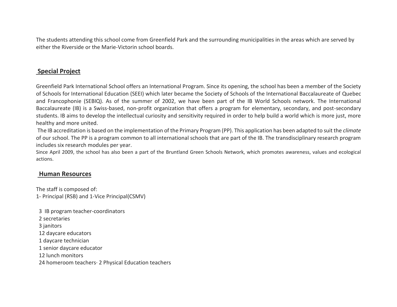The students attending this school come from Greenfield Park and the surrounding municipalities in the areas which are served by either the Riverside or the Marie-Victorin school boards.

## **Special Project**

Greenfield Park International School offers an International Program. Since its opening, the school has been a member of the Society of Schools for International Education (SEEI) which later became the Society of Schools of the International Baccalaureate of Quebec and Francophonie (SEBIQ). As of the summer of 2002, we have been part of the IB World Schools network. The International Baccalaureate (IB) is a Swiss-based, non-profit organization that offers a program for elementary, secondary, and post-secondary students. IB aims to develop the intellectual curiosity and sensitivity required in order to help build a world which is more just, more healthy and more united.

The IB accreditation is based on the implementation of the Primary Program (PP). This application has been adapted to suit the *climate* of our school. The PP is a program common to all international schools that are part of the IB. The transdisciplinary research program includes six research modules per year.

Since April 2009, the school has also been a part of the Bruntland Green Schools Network, which promotes awareness, values and ecological actions.

#### **Human Resources**

The staff is composed of: 1- Principal (RSB) and 1-Vice Principal(CSMV)

 3 IB program teacher-coordinators 2 secretaries 3 janitors 12 daycare educators 1 daycare technician 1 senior daycare educator 12 lunch monitors 24 homeroom teachers· 2 Physical Education teachers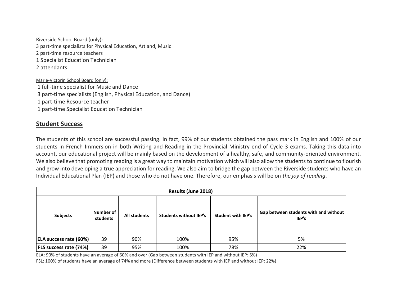Riverside School Board (only):

3 part-time specialists for Physical Education, Art and, Music

2 part-time resource teachers

1 Specialist Education Technician

2 attendants.

Marie-Victorin School Board (only): 1 full-time specialist for Music and Dance 3 part-time specialists (English, Physical Education, and Dance) 1 part-time Resource teacher 1 part-time Specialist Education Technician

#### **Student Success**

The students of this school are successful passing. In fact, 99% of our students obtained the pass mark in English and 100% of our students in French Immersion in both Writing and Reading in the Provincial Ministry end of Cycle 3 exams. Taking this data into account, our educational project will be mainly based on the development of a healthy, safe, and community-oriented environment. We also believe that promoting reading is a great way to maintain motivation which will also allow the students to continue to flourish and grow into developing a true appreciation for reading. We also aim to bridge the gap between the Riverside students who have an Individual Educational Plan (IEP) and those who do not have one. Therefore, our emphasis will be on *the joy of reading*.

| Results (June 2018)           |                         |              |                               |                           |                                                |
|-------------------------------|-------------------------|--------------|-------------------------------|---------------------------|------------------------------------------------|
| <b>Subjects</b>               | Number of 1<br>students | All students | <b>Students without IEP's</b> | <b>Student with IEP's</b> | Gap between students with and without<br>IEP's |
| <b>ELA success rate (60%)</b> | 39                      | 90%          | 100%                          | 95%                       | 5%                                             |
| <b>FLS success rate (74%)</b> | 39                      | 95%          | 100%                          | 78%                       | 22%                                            |

ELA: 90% of students have an average of 60% and over (Gap between students with IEP and without IEP: 5%)

FSL: 100% of students have an average of 74% and more (Difference between students with IEP and without IEP: 22%)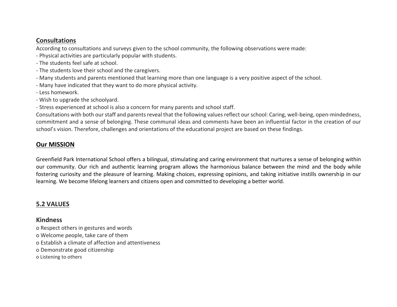## **Consultations**

According to consultations and surveys given to the school community, the following observations were made:

- Physical activities are particularly popular with students.
- The students feel safe at school.
- The students love their school and the caregivers.
- Many students and parents mentioned that learning more than one language is a very positive aspect of the school.
- Many have indicated that they want to do more physical activity.
- Less homework.
- Wish to upgrade the schoolyard.
- Stress experienced at school is also a concern for many parents and school staff.

Consultations with both our staff and parents reveal that the following values reflect our school: Caring, well-being, open-mindedness, commitment and a sense of belonging. These communal ideas and comments have been an influential factor in the creation of our school's vision. Therefore, challenges and orientations of the educational project are based on these findings.

## **Our MISSION**

Greenfield Park International School offers a bilingual, stimulating and caring environment that nurtures a sense of belonging within our community. Our rich and authentic learning program allows the harmonious balance between the mind and the body while fostering curiosity and the pleasure of learning. Making choices, expressing opinions, and taking initiative instills ownership in our learning. We become lifelong learners and citizens open and committed to developing a better world.

## **5.2 VALUES**

## **Kindness**

o Respect others in gestures and words o Welcome people, take care of them o Establish a climate of affection and attentiveness o Demonstrate good citizenship o Listening to others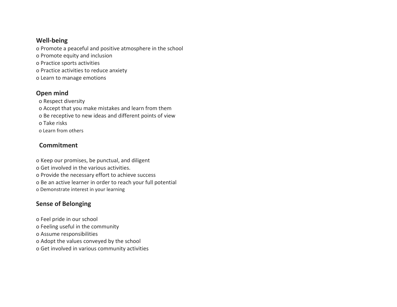## **Well-being**

o Promote a peaceful and positive atmosphere in the school

- o Promote equity and inclusion
- o Practice sports activities
- o Practice activities to reduce anxiety
- o Learn to manage emotions

## **Open mind**

o Respect diversity o Accept that you make mistakes and learn from them o Be receptive to new ideas and different points of view o Take risks o Learn from others

## **Commitment**

o Keep our promises, be punctual, and diligent o Get involved in the various activities. o Provide the necessary effort to achieve success o Be an active learner in order to reach your full potential o Demonstrate interest in your learning

## **Sense of Belonging**

o Feel pride in our school

- o Feeling useful in the community
- o Assume responsibilities
- o Adopt the values conveyed by the school
- o Get involved in various community activities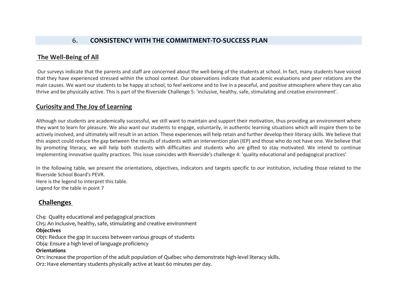## 6. **CONSISTENCY WITH THE COMMITMENT-TO-SUCCESS PLAN**

## **The Well-Being of All**

Our surveys indicate that the parents and staff are concerned about the well-being of the students at school. In fact, many students have voiced that they have experienced stressed within the school context. Our observations indicate that academic evaluations and peer relations are the main causes. We want our students to be happy at school, to feel welcome and to live in a peaceful, and positive atmosphere where they can also thrive and be physically active. This is part of the Riverside Challenge 5: 'inclusive, healthy, safe, stimulating and creative environment'.

## **Curiosity and The Joy of Learning**

Although our students are academically successful, we still want to maintain and support their motivation, thus providing an environment where they want to learn for pleasure. We also want our students to engage, voluntarily, in authentic learning situations which will inspire them to be actively involved, and ultimately will result in an action. These experiences will help retain and further develop their literacy skills. We believe that this aspect could reduce the gap between the results of students with an intervention plan (IEP) and those who do not have one. We believe that by promoting literacy, we will help both students with difficulties and students who are gifted to stay motivated. We intend to continue implementing innovative quality practices. This issue coincides with Riverside's challenge 4: 'quality educational and pedagogical practices'

In the following table, we present the orientations, objectives, indicators and targets specific to our institution, including those related to the Riverside School Board's PEVR.

Here is the legend to interpret this table. Legend for the table in point 7

## **Challenges**

Ch4:  Quality educational and pedagogical practices

Ch5: An inclusive, healthy, safe, stimulating and creative environment

#### **Objectives**

Obj1: Reduce the gap in success between various groups of students

Obj4: Ensure a high level of language proficiency

#### **Orientations**

Or1: Increase the proportion of the adult population of Québec who demonstrate high-level literacy skills. Or2: Have elementary students physically active at least 60 minutes per day.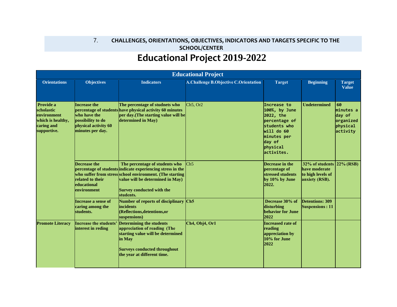## 7. **CHALLENGES, ORIENTATIONS, OBJECTIVES, INDICATORS AND TARGETS SPECIFIC TO THE SCHOOL/CENTER   Educational Project 2019-2022**

| <b>Educational Project</b>                                                                                                                                                                                                                                                                                                                                                                                                                                                                                                                        |                                                                                                 |                                                                                                                                                                                      |                                                                                  |                                                                                                                                             |                     |                                                                |
|---------------------------------------------------------------------------------------------------------------------------------------------------------------------------------------------------------------------------------------------------------------------------------------------------------------------------------------------------------------------------------------------------------------------------------------------------------------------------------------------------------------------------------------------------|-------------------------------------------------------------------------------------------------|--------------------------------------------------------------------------------------------------------------------------------------------------------------------------------------|----------------------------------------------------------------------------------|---------------------------------------------------------------------------------------------------------------------------------------------|---------------------|----------------------------------------------------------------|
| <b>Orientations</b>                                                                                                                                                                                                                                                                                                                                                                                                                                                                                                                               | <b>Objectives</b>                                                                               | <b>Indicators</b>                                                                                                                                                                    | <b>A.Challenge B.Objective C.Orientation</b>                                     | <b>Target</b>                                                                                                                               | <b>Beginning</b>    | <b>Target</b><br><b>Value</b>                                  |
| Provide a<br><b>Increase the</b><br>percentage of students have physical activity 60 minutes<br>scholastic<br>environment<br>who have the<br>possibility to do<br>which is healthy,<br>physical activity 60<br>caring and<br>minutes per day.<br>supportive.<br>Decrease the<br>percentage of students indicate experiencing stress in the<br>who suffer from stress school environment. (The starting<br>related to their<br>educational<br>environment<br>students.<br>Increase a sense of<br>caring among the<br><i>incidents</i><br>students. |                                                                                                 | The percentage of studnets who<br>per day.(The starting value will be<br>determined in May)                                                                                          | Ch5. Or2                                                                         | Increase to<br>100%, by June<br>2022, the<br>percentage of<br>students who<br>will do 60<br>minutes per<br>day of<br>physical<br>activites. | <b>Undetermined</b> | 60<br>minutes a<br>day of<br>organized<br>physical<br>activity |
|                                                                                                                                                                                                                                                                                                                                                                                                                                                                                                                                                   | The percentage of students who<br>value will be determined in May)<br>Survey conducted with the | Ch5                                                                                                                                                                                  | Decrease in the<br>percentage of<br>stressed students<br>by 10% by June<br>2022. | $32\%$ of students $ 22\%$ (RSB)<br>have moderate<br>to high levels of<br>anxiety (RSB).                                                    |                     |                                                                |
|                                                                                                                                                                                                                                                                                                                                                                                                                                                                                                                                                   | Number of reports of disciplinary Ch5<br>(Reflections, detentions, or<br>suspensions)           |                                                                                                                                                                                      | Decrease 30% of<br>disturbing<br>behavior for June<br>2022                       | <b>Detentions: 309</b><br><b>Suspensions: 11</b>                                                                                            |                     |                                                                |
| <b>Promote Literacy</b>                                                                                                                                                                                                                                                                                                                                                                                                                                                                                                                           | Increase the students'<br>interest in reding                                                    | <b>Determining the students</b><br>appreciation of reading (The<br>starting value will be determined<br>in May<br><b>Surveys conducted throughout</b><br>the year at different time. | Ch4, Obj4, Or1                                                                   | <b>Increased rate of</b><br>reading<br>appreciation by<br>10% for June<br>2022                                                              |                     |                                                                |